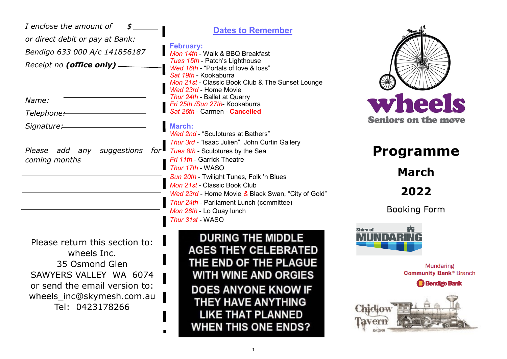| I enclose the amount of<br>${\mathfrak s}$ .<br>or direct debit or pay at Bank:<br>Bendigo 633 000 A/c 141856187<br>Receipt no (office only) -<br>Name:<br>Telephone:-<br>Signature:<br>Please add any suggestions for<br>coming months | <b>Dates to Remember</b><br><b>February:</b><br>Mon 14th - Walk & BBQ Breakfast<br>Tues 15th - Patch's Lighthouse<br>Wed 16th - "Portals of love & loss"<br>Sat 19th - Kookaburra<br>Mon 21st - Classic Book Club & The Sunset Lounge<br>Wed 23rd - Home Movie<br>Thur 24th - Ballet at Quarry<br>Fri 25th /Sun 27th- Kookaburra<br>Sat 26th - Carmen - Cancelled<br><b>March:</b><br><b>Wed 2nd - "Sculptures at Bathers"</b><br>Thur 3rd - "Isaac Julien", John Curtin Gallery<br>Tues 8th - Sculptures by the Sea<br>Fri 11th - Garrick Theatre<br>Thur 17th - WASO<br>Sun 20th - Twilight Tunes, Folk 'n Blues<br>Mon 21st - Classic Book Club<br>Wed 23rd - Home Movie & Black Swan, "City of Gold"<br>Thur 24th - Parliament Lunch (committee)<br>Mon 28th - Lo Quay lunch<br>Thur 31st - WASO | wheels<br><b>Seniors on the move</b><br><b>Programme</b><br><b>March</b><br>2022<br><b>Booking Form</b> |
|-----------------------------------------------------------------------------------------------------------------------------------------------------------------------------------------------------------------------------------------|------------------------------------------------------------------------------------------------------------------------------------------------------------------------------------------------------------------------------------------------------------------------------------------------------------------------------------------------------------------------------------------------------------------------------------------------------------------------------------------------------------------------------------------------------------------------------------------------------------------------------------------------------------------------------------------------------------------------------------------------------------------------------------------------------|---------------------------------------------------------------------------------------------------------|
| Please return this section to:<br>wheels Inc.<br>35 Osmond Glen<br>SAWYERS VALLEY WA 6074<br>or send the email version to:<br>wheels_inc@skymesh.com.au<br>Tel: 0423178266                                                              | <b>DURING THE MIDDLE</b><br><b>AGES THEY CELEBRATED</b><br>THE END OF THE PLAGUE<br><b>WITH WINE AND ORGIES</b><br><b>DOES ANYONE KNOW IF</b><br>THEY HAVE ANYTHING<br><b>LIKE THAT PLANNED</b><br>WHEN THIS ONE ENDS?                                                                                                                                                                                                                                                                                                                                                                                                                                                                                                                                                                               | <b>Shire of</b><br><b>Mundaring</b><br><b>Community Bank® Branch</b><br><b>Bendigo Bank</b>             |

1

**WHEN THIS ONE ENDS?** 

 $\blacksquare$ 

Est 1908